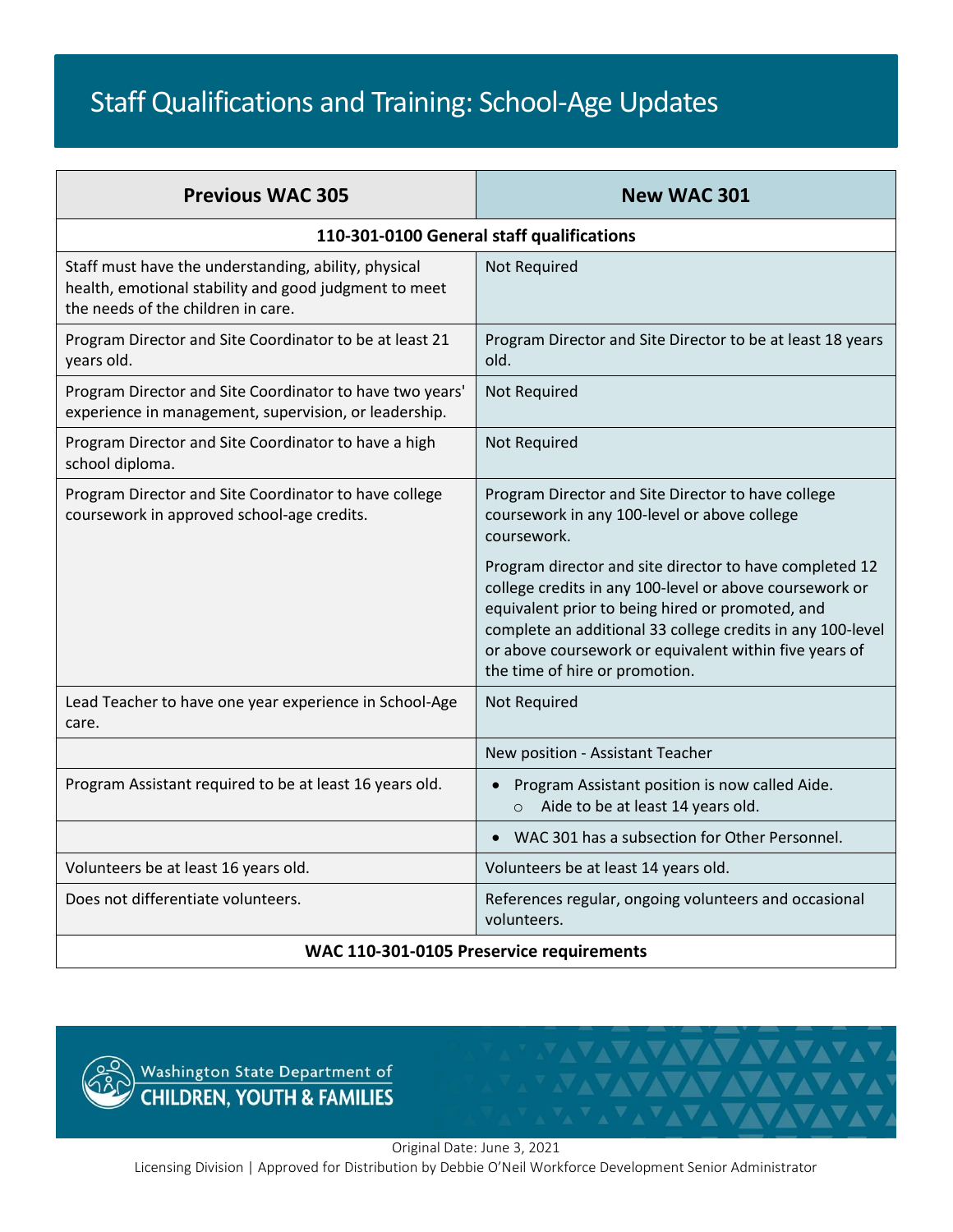## Staff Qualifications and Training: School-Age Updates

| <b>Previous WAC 305</b>                                                                                                                             | <b>New WAC 301</b>                                                                                                                                                                                                                                                                                                               |
|-----------------------------------------------------------------------------------------------------------------------------------------------------|----------------------------------------------------------------------------------------------------------------------------------------------------------------------------------------------------------------------------------------------------------------------------------------------------------------------------------|
| 110-301-0100 General staff qualifications                                                                                                           |                                                                                                                                                                                                                                                                                                                                  |
| Staff must have the understanding, ability, physical<br>health, emotional stability and good judgment to meet<br>the needs of the children in care. | Not Required                                                                                                                                                                                                                                                                                                                     |
| Program Director and Site Coordinator to be at least 21<br>years old.                                                                               | Program Director and Site Director to be at least 18 years<br>old.                                                                                                                                                                                                                                                               |
| Program Director and Site Coordinator to have two years'<br>experience in management, supervision, or leadership.                                   | Not Required                                                                                                                                                                                                                                                                                                                     |
| Program Director and Site Coordinator to have a high<br>school diploma.                                                                             | Not Required                                                                                                                                                                                                                                                                                                                     |
| Program Director and Site Coordinator to have college<br>coursework in approved school-age credits.                                                 | Program Director and Site Director to have college<br>coursework in any 100-level or above college<br>coursework.                                                                                                                                                                                                                |
|                                                                                                                                                     | Program director and site director to have completed 12<br>college credits in any 100-level or above coursework or<br>equivalent prior to being hired or promoted, and<br>complete an additional 33 college credits in any 100-level<br>or above coursework or equivalent within five years of<br>the time of hire or promotion. |
| Lead Teacher to have one year experience in School-Age<br>care.                                                                                     | Not Required                                                                                                                                                                                                                                                                                                                     |
|                                                                                                                                                     | New position - Assistant Teacher                                                                                                                                                                                                                                                                                                 |
| Program Assistant required to be at least 16 years old.                                                                                             | Program Assistant position is now called Aide.<br>Aide to be at least 14 years old.<br>$\circ$                                                                                                                                                                                                                                   |
|                                                                                                                                                     | WAC 301 has a subsection for Other Personnel.                                                                                                                                                                                                                                                                                    |
| Volunteers be at least 16 years old.                                                                                                                | Volunteers be at least 14 years old.                                                                                                                                                                                                                                                                                             |
| Does not differentiate volunteers.                                                                                                                  | References regular, ongoing volunteers and occasional<br>volunteers.                                                                                                                                                                                                                                                             |
| WAC 110-301-0105 Preservice requirements                                                                                                            |                                                                                                                                                                                                                                                                                                                                  |



Original Date: June 3, 2021 Licensing Division | Approved for Distribution by Debbie O'Neil Workforce Development Senior Administrator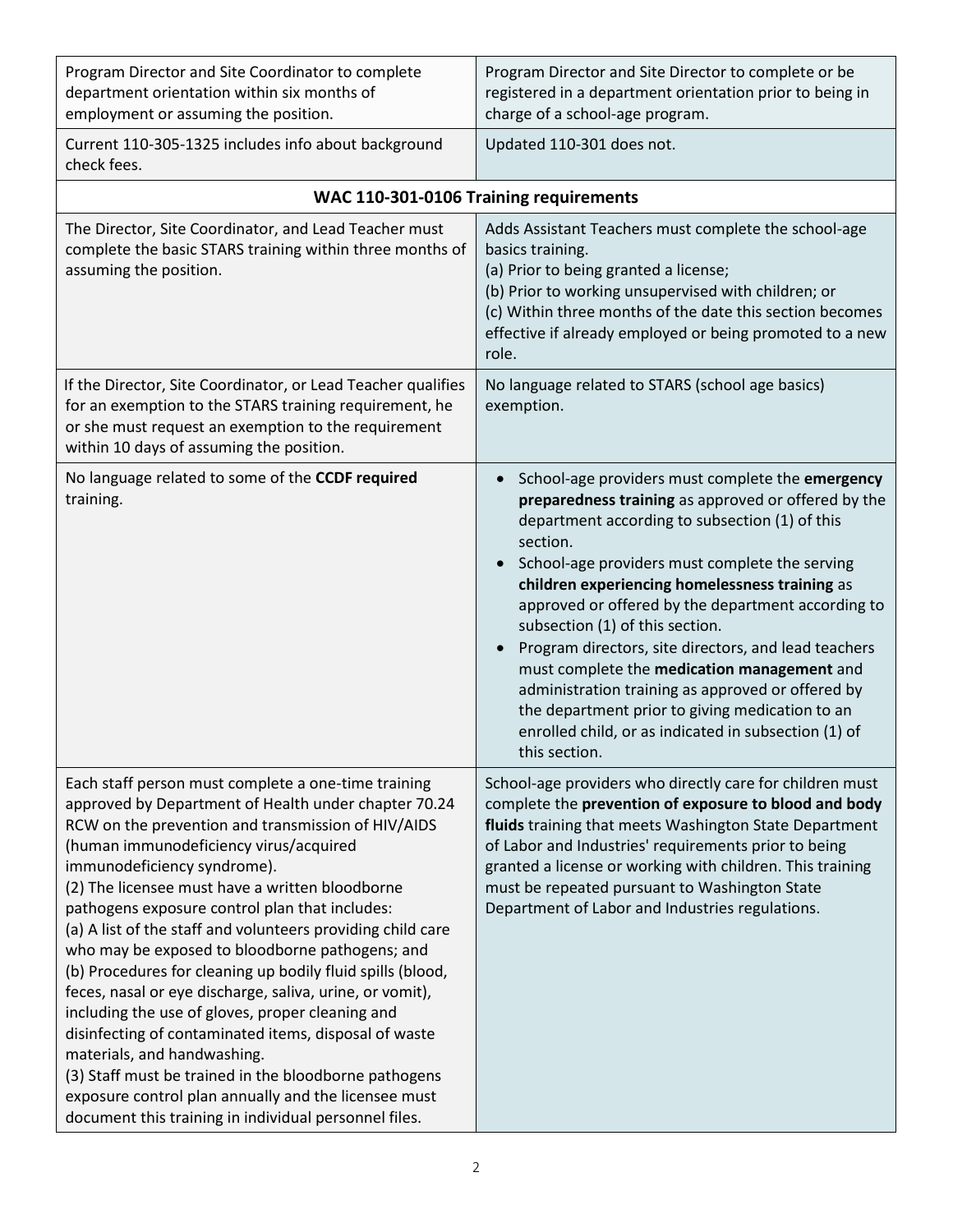| Program Director and Site Coordinator to complete<br>department orientation within six months of<br>employment or assuming the position.                                                                                                                                                                                                                                                                                                                                                                                                                                                                                                                                                                                                                                                                                                                                                                          | Program Director and Site Director to complete or be<br>registered in a department orientation prior to being in<br>charge of a school-age program.                                                                                                                                                                                                                                                                                                                                                                                                                                                                                                                     |  |
|-------------------------------------------------------------------------------------------------------------------------------------------------------------------------------------------------------------------------------------------------------------------------------------------------------------------------------------------------------------------------------------------------------------------------------------------------------------------------------------------------------------------------------------------------------------------------------------------------------------------------------------------------------------------------------------------------------------------------------------------------------------------------------------------------------------------------------------------------------------------------------------------------------------------|-------------------------------------------------------------------------------------------------------------------------------------------------------------------------------------------------------------------------------------------------------------------------------------------------------------------------------------------------------------------------------------------------------------------------------------------------------------------------------------------------------------------------------------------------------------------------------------------------------------------------------------------------------------------------|--|
| Current 110-305-1325 includes info about background<br>check fees.                                                                                                                                                                                                                                                                                                                                                                                                                                                                                                                                                                                                                                                                                                                                                                                                                                                | Updated 110-301 does not.                                                                                                                                                                                                                                                                                                                                                                                                                                                                                                                                                                                                                                               |  |
| WAC 110-301-0106 Training requirements                                                                                                                                                                                                                                                                                                                                                                                                                                                                                                                                                                                                                                                                                                                                                                                                                                                                            |                                                                                                                                                                                                                                                                                                                                                                                                                                                                                                                                                                                                                                                                         |  |
| The Director, Site Coordinator, and Lead Teacher must<br>complete the basic STARS training within three months of<br>assuming the position.                                                                                                                                                                                                                                                                                                                                                                                                                                                                                                                                                                                                                                                                                                                                                                       | Adds Assistant Teachers must complete the school-age<br>basics training.<br>(a) Prior to being granted a license;<br>(b) Prior to working unsupervised with children; or<br>(c) Within three months of the date this section becomes<br>effective if already employed or being promoted to a new<br>role.                                                                                                                                                                                                                                                                                                                                                               |  |
| If the Director, Site Coordinator, or Lead Teacher qualifies<br>for an exemption to the STARS training requirement, he<br>or she must request an exemption to the requirement<br>within 10 days of assuming the position.                                                                                                                                                                                                                                                                                                                                                                                                                                                                                                                                                                                                                                                                                         | No language related to STARS (school age basics)<br>exemption.                                                                                                                                                                                                                                                                                                                                                                                                                                                                                                                                                                                                          |  |
| No language related to some of the CCDF required<br>training.                                                                                                                                                                                                                                                                                                                                                                                                                                                                                                                                                                                                                                                                                                                                                                                                                                                     | School-age providers must complete the emergency<br>$\bullet$<br>preparedness training as approved or offered by the<br>department according to subsection (1) of this<br>section.<br>School-age providers must complete the serving<br>children experiencing homelessness training as<br>approved or offered by the department according to<br>subsection (1) of this section.<br>Program directors, site directors, and lead teachers<br>must complete the medication management and<br>administration training as approved or offered by<br>the department prior to giving medication to an<br>enrolled child, or as indicated in subsection (1) of<br>this section. |  |
| Each staff person must complete a one-time training<br>approved by Department of Health under chapter 70.24<br>RCW on the prevention and transmission of HIV/AIDS<br>(human immunodeficiency virus/acquired<br>immunodeficiency syndrome).<br>(2) The licensee must have a written bloodborne<br>pathogens exposure control plan that includes:<br>(a) A list of the staff and volunteers providing child care<br>who may be exposed to bloodborne pathogens; and<br>(b) Procedures for cleaning up bodily fluid spills (blood,<br>feces, nasal or eye discharge, saliva, urine, or vomit),<br>including the use of gloves, proper cleaning and<br>disinfecting of contaminated items, disposal of waste<br>materials, and handwashing.<br>(3) Staff must be trained in the bloodborne pathogens<br>exposure control plan annually and the licensee must<br>document this training in individual personnel files. | School-age providers who directly care for children must<br>complete the prevention of exposure to blood and body<br>fluids training that meets Washington State Department<br>of Labor and Industries' requirements prior to being<br>granted a license or working with children. This training<br>must be repeated pursuant to Washington State<br>Department of Labor and Industries regulations.                                                                                                                                                                                                                                                                    |  |